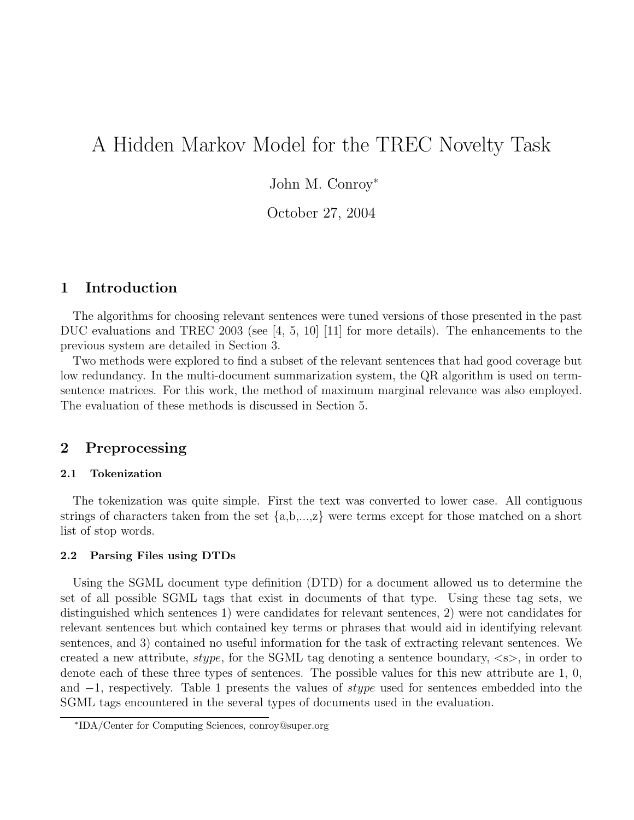# A Hidden Markov Model for the TREC Novelty Task

John M. Conroy<sup>∗</sup>

October 27, 2004

## 1 Introduction

The algorithms for choosing relevant sentences were tuned versions of those presented in the past DUC evaluations and TREC 2003 (see [4, 5, 10] [11] for more details). The enhancements to the previous system are detailed in Section 3.

Two methods were explored to find a subset of the relevant sentences that had good coverage but low redundancy. In the multi-document summarization system, the QR algorithm is used on termsentence matrices. For this work, the method of maximum marginal relevance was also employed. The evaluation of these methods is discussed in Section 5.

## 2 Preprocessing

#### 2.1 Tokenization

The tokenization was quite simple. First the text was converted to lower case. All contiguous strings of characters taken from the set  $\{a,b,...,z\}$  were terms except for those matched on a short list of stop words.

#### 2.2 Parsing Files using DTDs

Using the SGML document type definition (DTD) for a document allowed us to determine the set of all possible SGML tags that exist in documents of that type. Using these tag sets, we distinguished which sentences 1) were candidates for relevant sentences, 2) were not candidates for relevant sentences but which contained key terms or phrases that would aid in identifying relevant sentences, and 3) contained no useful information for the task of extracting relevant sentences. We created a new attribute, *stype*, for the SGML tag denoting a sentence boundary,  $\langle s \rangle$ , in order to denote each of these three types of sentences. The possible values for this new attribute are 1, 0, and −1, respectively. Table 1 presents the values of stype used for sentences embedded into the SGML tags encountered in the several types of documents used in the evaluation.

<sup>∗</sup> IDA/Center for Computing Sciences, conroy@super.org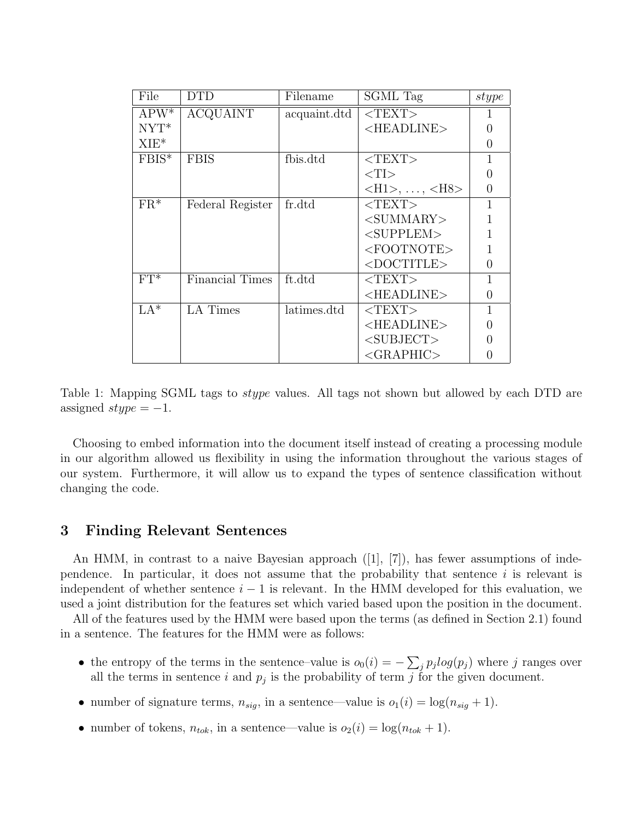| File    | <b>DTD</b>       | Filename     | SGML Tag                                         | stype            |
|---------|------------------|--------------|--------------------------------------------------|------------------|
| $APW^*$ | <b>ACQUAINT</b>  | acquaint.dtd | $<$ TEXT>                                        |                  |
| $NYT^*$ |                  |              | <headline></headline>                            |                  |
| $XIE^*$ |                  |              |                                                  | $\left( \right)$ |
| $FBIS*$ | <b>FBIS</b>      | fbis.dtd     | $<$ TEXT>                                        |                  |
|         |                  |              | $\langle TI \rangle$                             |                  |
|         |                  |              | $\langle H1 \rangle, \ldots, \langle H8 \rangle$ | $\left( \right)$ |
| $FR^*$  | Federal Register | fr.dtd       | $<$ TEXT>                                        |                  |
|         |                  |              | $<$ SUMMARY $>$                                  |                  |
|         |                  |              | $<$ SUPPLEM>                                     |                  |
|         |                  |              | <footnote></footnote>                            |                  |
|         |                  |              | $<$ DOCTITLE>                                    | $\left( \right)$ |
| $FT^*$  | Financial Times  | ft.dtd       | $<$ TEXT $>$                                     |                  |
|         |                  |              | $<$ HEADLINE $>$                                 | $\left( \right)$ |
| $LA*$   | <b>LA</b> Times  | latimes.dtd  | $<$ TEXT>                                        |                  |
|         |                  |              | <headline></headline>                            | $\left( \right)$ |
|         |                  |              | $<$ SUBJECT>                                     |                  |
|         |                  |              | $<$ GRAPHIC>                                     |                  |

Table 1: Mapping SGML tags to stype values. All tags not shown but allowed by each DTD are assigned  $style = -1$ .

Choosing to embed information into the document itself instead of creating a processing module in our algorithm allowed us flexibility in using the information throughout the various stages of our system. Furthermore, it will allow us to expand the types of sentence classification without changing the code.

## 3 Finding Relevant Sentences

An HMM, in contrast to a naive Bayesian approach  $([1], [7])$ , has fewer assumptions of independence. In particular, it does not assume that the probability that sentence  $i$  is relevant is independent of whether sentence  $i - 1$  is relevant. In the HMM developed for this evaluation, we used a joint distribution for the features set which varied based upon the position in the document.

All of the features used by the HMM were based upon the terms (as defined in Section 2.1) found in a sentence. The features for the HMM were as follows:

- the entropy of the terms in the sentence–value is  $o_0(i) = -\sum_j p_j log(p_j)$  where j ranges over all the terms in sentence i and  $p_j$  is the probability of term j for the given document.
- number of signature terms,  $n_{sig}$ , in a sentence—value is  $o_1(i) = \log(n_{sig} + 1)$ .
- number of tokens,  $n_{tok}$ , in a sentence—value is  $o_2(i) = \log(n_{tok} + 1)$ .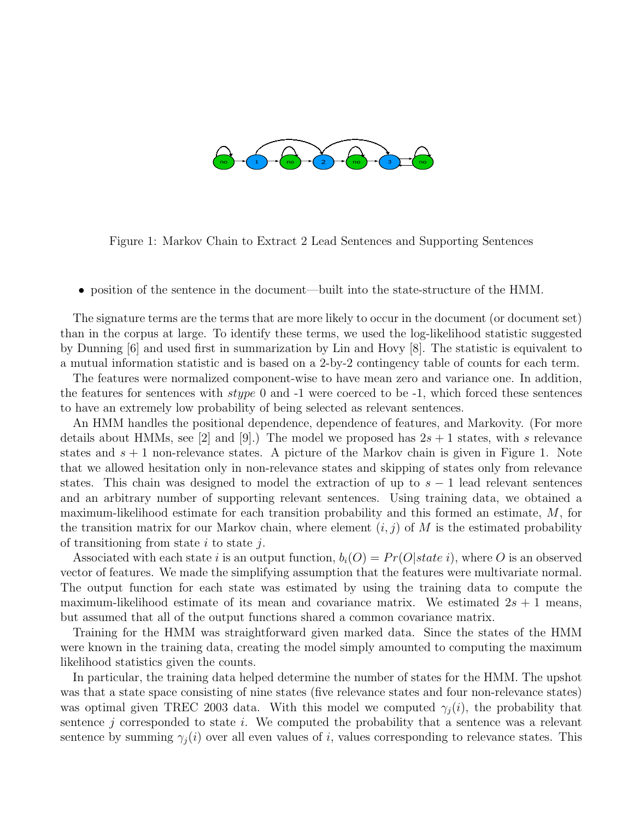

Figure 1: Markov Chain to Extract 2 Lead Sentences and Supporting Sentences

• position of the sentence in the document—built into the state-structure of the HMM.

The signature terms are the terms that are more likely to occur in the document (or document set) than in the corpus at large. To identify these terms, we used the log-likelihood statistic suggested by Dunning [6] and used first in summarization by Lin and Hovy [8]. The statistic is equivalent to a mutual information statistic and is based on a 2-by-2 contingency table of counts for each term.

The features were normalized component-wise to have mean zero and variance one. In addition, the features for sentences with  $style$  0 and -1 were coerced to be -1, which forced these sentences to have an extremely low probability of being selected as relevant sentences.

An HMM handles the positional dependence, dependence of features, and Markovity. (For more details about HMMs, see [2] and [9].) The model we proposed has  $2s + 1$  states, with s relevance states and  $s + 1$  non-relevance states. A picture of the Markov chain is given in Figure 1. Note that we allowed hesitation only in non-relevance states and skipping of states only from relevance states. This chain was designed to model the extraction of up to  $s - 1$  lead relevant sentences and an arbitrary number of supporting relevant sentences. Using training data, we obtained a maximum-likelihood estimate for each transition probability and this formed an estimate, M, for the transition matrix for our Markov chain, where element  $(i, j)$  of M is the estimated probability of transitioning from state i to state j.

Associated with each state i is an output function,  $b_i(O) = Pr(O|state i)$ , where O is an observed vector of features. We made the simplifying assumption that the features were multivariate normal. The output function for each state was estimated by using the training data to compute the maximum-likelihood estimate of its mean and covariance matrix. We estimated  $2s + 1$  means, but assumed that all of the output functions shared a common covariance matrix.

Training for the HMM was straightforward given marked data. Since the states of the HMM were known in the training data, creating the model simply amounted to computing the maximum likelihood statistics given the counts.

In particular, the training data helped determine the number of states for the HMM. The upshot was that a state space consisting of nine states (five relevance states and four non-relevance states) was optimal given TREC 2003 data. With this model we computed  $\gamma_i(i)$ , the probability that sentence  $j$  corresponded to state  $i$ . We computed the probability that a sentence was a relevant sentence by summing  $\gamma_i(i)$  over all even values of i, values corresponding to relevance states. This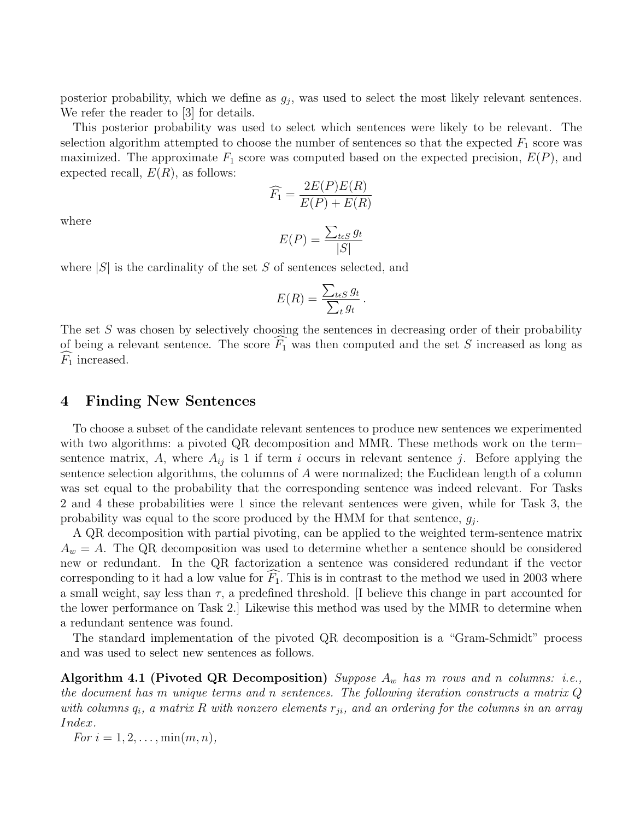posterior probability, which we define as  $g_j$ , was used to select the most likely relevant sentences. We refer the reader to [3] for details.

This posterior probability was used to select which sentences were likely to be relevant. The selection algorithm attempted to choose the number of sentences so that the expected  $F_1$  score was maximized. The approximate  $F_1$  score was computed based on the expected precision,  $E(P)$ , and expected recall,  $E(R)$ , as follows:

$$
\widehat{F_1} = \frac{2E(P)E(R)}{E(P) + E(R)}
$$

where

$$
E(P) = \frac{\sum_{t \in S} g_t}{|S|}
$$

where  $|S|$  is the cardinality of the set S of sentences selected, and

$$
E(R) = \frac{\sum_{t \in S} g_t}{\sum_t g_t}.
$$

The set S was chosen by selectively choosing the sentences in decreasing order of their probability of being a relevant sentence. The score  $\widehat{F_1}$  was then computed and the set S increased as long as  $F_1$  increased.

### 4 Finding New Sentences

To choose a subset of the candidate relevant sentences to produce new sentences we experimented with two algorithms: a pivoted QR decomposition and MMR. These methods work on the term– sentence matrix, A, where  $A_{ij}$  is 1 if term i occurs in relevant sentence j. Before applying the sentence selection algorithms, the columns of A were normalized; the Euclidean length of a column was set equal to the probability that the corresponding sentence was indeed relevant. For Tasks 2 and 4 these probabilities were 1 since the relevant sentences were given, while for Task 3, the probability was equal to the score produced by the HMM for that sentence,  $g_j$ .

A QR decomposition with partial pivoting, can be applied to the weighted term-sentence matrix  $A_w = A$ . The QR decomposition was used to determine whether a sentence should be considered new or redundant. In the QR factorization a sentence was considered redundant if the vector corresponding to it had a low value for  $\widehat{F_1}$ . This is in contrast to the method we used in 2003 where a small weight, say less than  $\tau$ , a predefined threshold. [I believe this change in part accounted for the lower performance on Task 2.] Likewise this method was used by the MMR to determine when a redundant sentence was found.

The standard implementation of the pivoted QR decomposition is a "Gram-Schmidt" process and was used to select new sentences as follows.

Algorithm 4.1 (Pivoted QR Decomposition) Suppose  $A_w$  has m rows and n columns: i.e., the document has m unique terms and n sentences. The following iteration constructs a matrix  $Q$ with columns  $q_i$ , a matrix R with nonzero elements  $r_{ji}$ , and an ordering for the columns in an array Index.

For  $i = 1, 2, ..., \min(m, n)$ ,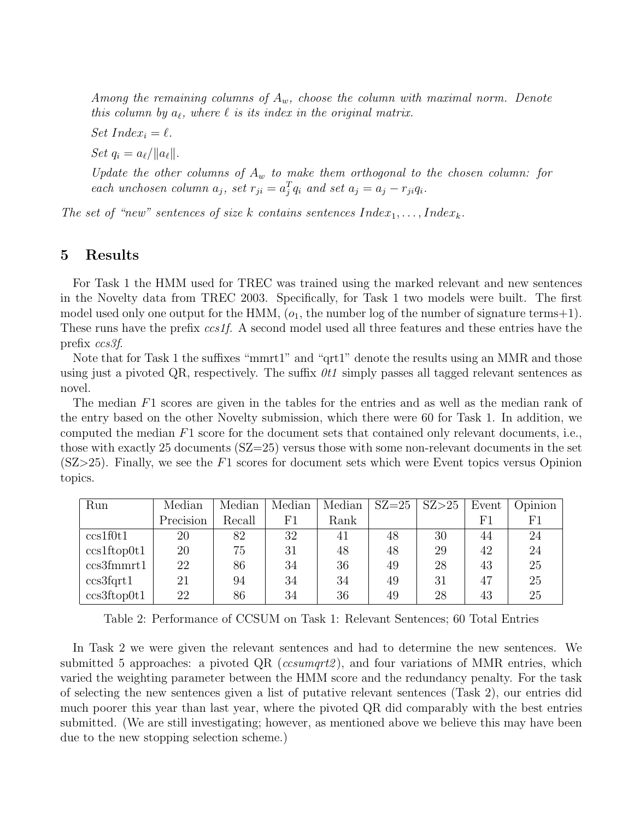Among the remaining columns of  $A_w$ , choose the column with maximal norm. Denote this column by  $a_{\ell}$ , where  $\ell$  is its index in the original matrix.

Set  $Index_i = \ell$ .

Set  $q_i = a_\ell / ||a_\ell||$ .

Update the other columns of  $A_w$  to make them orthogonal to the chosen column: for each unchosen column  $a_j$ , set  $r_{ji} = a_j^T q_i$  and set  $a_j = a_j - r_{ji} q_i$ .

The set of "new" sentences of size k contains sentences  $Index_1, \ldots, Index_k$ .

## 5 Results

For Task 1 the HMM used for TREC was trained using the marked relevant and new sentences in the Novelty data from TREC 2003. Specifically, for Task 1 two models were built. The first model used only one output for the HMM,  $(o_1,$  the number log of the number of signature terms+1). These runs have the prefix ccs1f. A second model used all three features and these entries have the prefix ccs3f.

Note that for Task 1 the suffixes "mmrt1" and "qrt1" denote the results using an MMR and those using just a pivoted QR, respectively. The suffix  $0t1$  simply passes all tagged relevant sentences as novel.

The median F1 scores are given in the tables for the entries and as well as the median rank of the entry based on the other Novelty submission, which there were 60 for Task 1. In addition, we computed the median F1 score for the document sets that contained only relevant documents, i.e., those with exactly 25 documents (SZ=25) versus those with some non-relevant documents in the set  $(SZ>25)$ . Finally, we see the F1 scores for document sets which were Event topics versus Opinion topics.

| Run         | Median    | Median | Median | Median | $SZ = 25$ | SZ>25 | Event | Opinion     |
|-------------|-----------|--------|--------|--------|-----------|-------|-------|-------------|
|             | Precision | Recall | F1     | Rank   |           |       | F1    | $_{\rm F1}$ |
| ccs1f0t1    | 20        | 82     | 32     | 41     | 48        | 30    | 44    | 24          |
| ccs1ftop0t1 | 20        | 75     | 31     | 48     | 48        | 29    | 42    | 24          |
| ccs3fmmrt1  | 22        | 86     | 34     | 36     | 49        | 28    | 43    | 25          |
| ccs3fqrt1   | 21        | 94     | 34     | 34     | 49        | 31    | 47    | 25          |
| ccs3ftop0t1 | 22        | 86     | 34     | 36     | 49        | 28    | 43    | 25          |

Table 2: Performance of CCSUM on Task 1: Relevant Sentences; 60 Total Entries

In Task 2 we were given the relevant sentences and had to determine the new sentences. We submitted 5 approaches: a pivoted  $QR$  (ccsumqrt2), and four variations of MMR entries, which varied the weighting parameter between the HMM score and the redundancy penalty. For the task of selecting the new sentences given a list of putative relevant sentences (Task 2), our entries did much poorer this year than last year, where the pivoted QR did comparably with the best entries submitted. (We are still investigating; however, as mentioned above we believe this may have been due to the new stopping selection scheme.)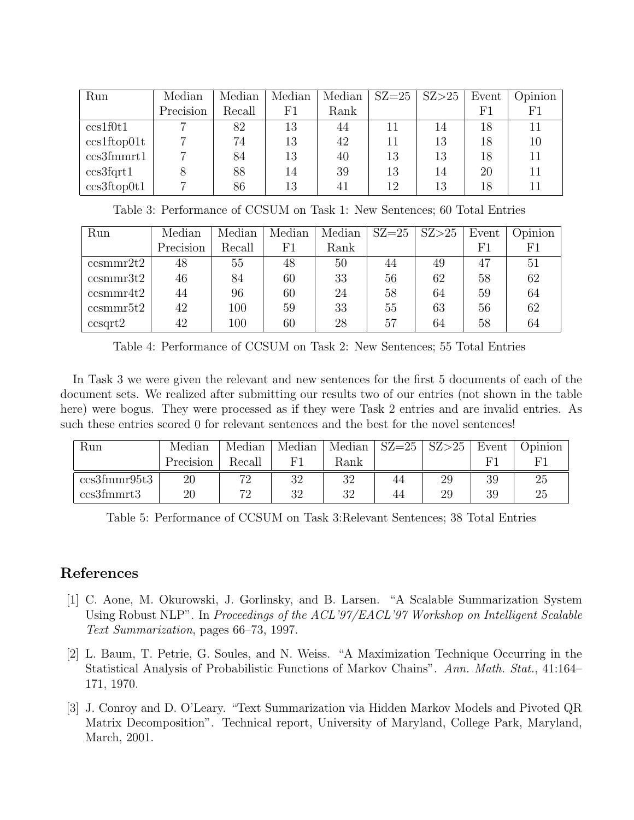| Run         | Median    | Median | Median | Median | $SZ = 25$ | SZ>25 | Event | Opinion |
|-------------|-----------|--------|--------|--------|-----------|-------|-------|---------|
|             | Precision | Recall | F1     | Rank   |           |       | F1    | F1      |
| ccs1f0t1    |           | 82     | 13     | 44     | 11        | 14    | 18    | 11      |
| ccs1ftop01t |           | 74     | 13     | 42     | 11        | 13    | 18    | 10      |
| ccs3fmmrt1  |           | 84     | 13     | 40     | 13        | 13    | 18    | 11      |
| ccs3fqrt1   |           | 88     | 14     | 39     | 13        | 14    | 20    | 11      |
| ccs3ftop0t1 |           | 86     | 13     | 41     | 12        | 13    | 18    |         |

Table 3: Performance of CCSUM on Task 1: New Sentences; 60 Total Entries

| Run         | Median    | Median | Median   | Median | $SZ = 25$ | SZ > 25 | Event    | Opinion  |
|-------------|-----------|--------|----------|--------|-----------|---------|----------|----------|
|             | Precision | Recall | $\rm F1$ | Rank   |           |         | $\rm F1$ | $\rm F1$ |
| ccsmmr2t2   | 48        | 55     | 48       | 50     | 44        | 49      | 47       | 51       |
| ccsmmr3t2   | 46        | 84     | 60       | 33     | 56        | 62      | 58       | 62       |
| ccsmmr4t2   | 44        | 96     | 60       | 24     | 58        | 64      | 59       | 64       |
| ccsmmr5t2   | 42        | 100    | 59       | 33     | 55        | 63      | 56       | 62       |
| $ccsqrt{2}$ | 42        | 100    | 60       | 28     | 57        | 64      | 58       | 64       |

Table 4: Performance of CCSUM on Task 2: New Sentences; 55 Total Entries

In Task 3 we were given the relevant and new sentences for the first 5 documents of each of the document sets. We realized after submitting our results two of our entries (not shown in the table here) were bogus. They were processed as if they were Task 2 entries and are invalid entries. As such these entries scored 0 for relevant sentences and the best for the novel sentences!

| Run          | Median    | Median | Median | Median | $SZ = 25$ | SZ > 25 | Event | Jpinion |
|--------------|-----------|--------|--------|--------|-----------|---------|-------|---------|
|              | Precision | Recall |        | Rank   |           |         |       |         |
| ccs3fmmr95t3 | $20\,$    | 70     | 32     | 39     | 44        | 29      | 39    | 25      |
| ccs3fmmrt3   | $20\,$    | 70     | 32     | 20     | 44        | 29      | 39    | 25      |

Table 5: Performance of CCSUM on Task 3:Relevant Sentences; 38 Total Entries

## References

- [1] C. Aone, M. Okurowski, J. Gorlinsky, and B. Larsen. "A Scalable Summarization System Using Robust NLP". In Proceedings of the ACL'97/EACL'97 Workshop on Intelligent Scalable Text Summarization, pages 66–73, 1997.
- [2] L. Baum, T. Petrie, G. Soules, and N. Weiss. "A Maximization Technique Occurring in the Statistical Analysis of Probabilistic Functions of Markov Chains". Ann. Math. Stat., 41:164– 171, 1970.
- [3] J. Conroy and D. O'Leary. "Text Summarization via Hidden Markov Models and Pivoted QR Matrix Decomposition". Technical report, University of Maryland, College Park, Maryland, March, 2001.